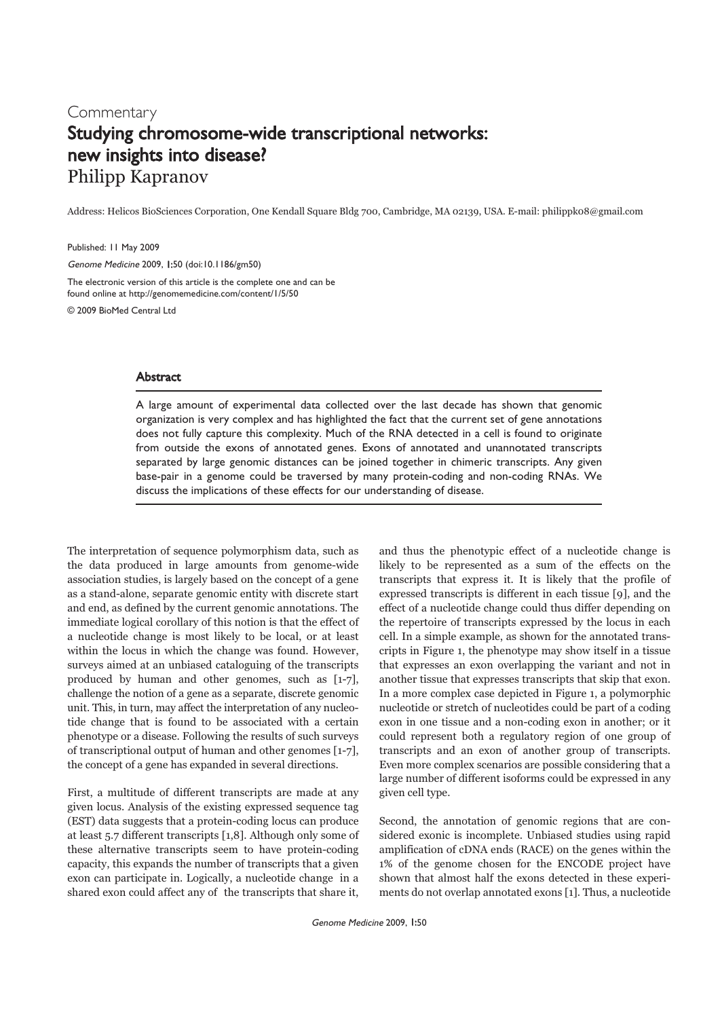# **Commentary** Studying chromosome-wide transcriptional networks: new insights into disease? Philipp Kapranov

Address: Helicos BioSciences Corporation, One Kendall Square Bldg 700, Cambridge, MA 02139, USA. E-mail: philippk08@gmail.com

Published: 11 May 2009

Genome Medicine 2009, 1:50 (doi:10.1186/gm50)

The electronic version of this article is the complete one and can be found online at http://genomemedicine.com/content/1/5/50

© 2009 BioMed Central Ltd

## Abstract

A large amount of experimental data collected over the last decade has shown that genomic organization is very complex and has highlighted the fact that the current set of gene annotations does not fully capture this complexity. Much of the RNA detected in a cell is found to originate from outside the exons of annotated genes. Exons of annotated and unannotated transcripts separated by large genomic distances can be joined together in chimeric transcripts. Any given base-pair in a genome could be traversed by many protein-coding and non-coding RNAs. We discuss the implications of these effects for our understanding of disease.

The interpretation of sequence polymorphism data, such as the data produced in large amounts from genome-wide association studies, is largely based on the concept of a gene as a stand-alone, separate genomic entity with discrete start and end, as defined by the current genomic annotations. The immediate logical corollary of this notion is that the effect of a nucleotide change is most likely to be local, or at least within the locus in which the change was found. However, surveys aimed at an unbiased cataloguing of the transcripts produced by human and other genomes, such as [1-7], challenge the notion of a gene as a separate, discrete genomic unit. This, in turn, may affect the interpretation of any nucleotide change that is found to be associated with a certain phenotype or a disease. Following the results of such surveys of transcriptional output of human and other genomes [1-7], the concept of a gene has expanded in several directions.

First, a multitude of different transcripts are made at any given locus. Analysis of the existing expressed sequence tag (EST) data suggests that a protein-coding locus can produce at least 5.7 different transcripts [1,8]. Although only some of these alternative transcripts seem to have protein-coding capacity, this expands the number of transcripts that a given exon can participate in. Logically, a nucleotide change in a shared exon could affect any of the transcripts that share it, and thus the phenotypic effect of a nucleotide change is likely to be represented as a sum of the effects on the transcripts that express it. It is likely that the profile of expressed transcripts is different in each tissue [9], and the effect of a nucleotide change could thus differ depending on the repertoire of transcripts expressed by the locus in each cell. In a simple example, as shown for the annotated transcripts in Figure 1, the phenotype may show itself in a tissue that expresses an exon overlapping the variant and not in another tissue that expresses transcripts that skip that exon. In a more complex case depicted in Figure 1, a polymorphic nucleotide or stretch of nucleotides could be part of a coding exon in one tissue and a non-coding exon in another; or it could represent both a regulatory region of one group of transcripts and an exon of another group of transcripts. Even more complex scenarios are possible considering that a large number of different isoforms could be expressed in any given cell type.

Second, the annotation of genomic regions that are considered exonic is incomplete. Unbiased studies using rapid amplification of cDNA ends (RACE) on the genes within the 1% of the genome chosen for the ENCODE project have shown that almost half the exons detected in these experiments do not overlap annotated exons [1]. Thus, a nucleotide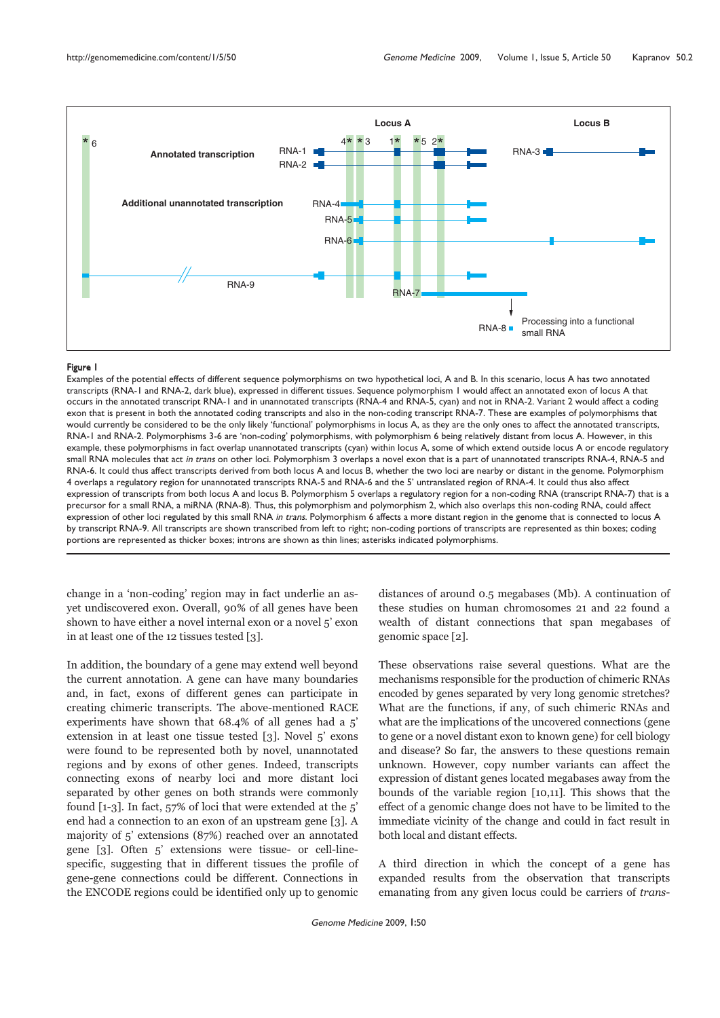

### Figure 1

Examples of the potential effects of different sequence polymorphisms on two hypothetical loci, A and B. In this scenario, locus A has two annotated transcripts (RNA-1 and RNA-2, dark blue), expressed in different tissues. Sequence polymorphism 1 would affect an annotated exon of locus A that occurs in the annotated transcript RNA-1 and in unannotated transcripts (RNA-4 and RNA-5, cyan) and not in RNA-2. Variant 2 would affect a coding exon that is present in both the annotated coding transcripts and also in the non-coding transcript RNA-7. These are examples of polymorphisms that would currently be considered to be the only likely 'functional' polymorphisms in locus A, as they are the only ones to affect the annotated transcripts, RNA-1 and RNA-2. Polymorphisms 3-6 are 'non-coding' polymorphisms, with polymorphism 6 being relatively distant from locus A. However, in this example, these polymorphisms in fact overlap unannotated transcripts (cyan) within locus A, some of which extend outside locus A or encode regulatory small RNA molecules that act in trans on other loci. Polymorphism 3 overlaps a novel exon that is a part of unannotated transcripts RNA-4, RNA-5 and RNA-6. It could thus affect transcripts derived from both locus A and locus B, whether the two loci are nearby or distant in the genome. Polymorphism 4 overlaps a regulatory region for unannotated transcripts RNA-5 and RNA-6 and the 5' untranslated region of RNA-4. It could thus also affect expression of transcripts from both locus A and locus B. Polymorphism 5 overlaps a regulatory region for a non-coding RNA (transcript RNA-7) that is a precursor for a small RNA, a miRNA (RNA-8). Thus, this polymorphism and polymorphism 2, which also overlaps this non-coding RNA, could affect expression of other loci regulated by this small RNA in trans. Polymorphism 6 affects a more distant region in the genome that is connected to locus A by transcript RNA-9. All transcripts are shown transcribed from left to right; non-coding portions of transcripts are represented as thin boxes; coding portions are represented as thicker boxes; introns are shown as thin lines; asterisks indicated polymorphisms.

change in a 'non-coding' region may in fact underlie an asyet undiscovered exon. Overall, 90% of all genes have been shown to have either a novel internal exon or a novel 5' exon in at least one of the 12 tissues tested [3].

In addition, the boundary of a gene may extend well beyond the current annotation. A gene can have many boundaries and, in fact, exons of different genes can participate in creating chimeric transcripts. The above-mentioned RACE experiments have shown that 68.4% of all genes had a 5' extension in at least one tissue tested [3]. Novel 5' exons were found to be represented both by novel, unannotated regions and by exons of other genes. Indeed, transcripts connecting exons of nearby loci and more distant loci separated by other genes on both strands were commonly found [1-3]. In fact, 57% of loci that were extended at the 5' end had a connection to an exon of an upstream gene [3]. A majority of 5' extensions (87%) reached over an annotated gene [3]. Often 5' extensions were tissue- or cell-linespecific, suggesting that in different tissues the profile of gene-gene connections could be different. Connections in the ENCODE regions could be identified only up to genomic

distances of around 0.5 megabases (Mb). A continuation of these studies on human chromosomes 21 and 22 found a wealth of distant connections that span megabases of genomic space [2].

These observations raise several questions. What are the mechanisms responsible for the production of chimeric RNAs encoded by genes separated by very long genomic stretches? What are the functions, if any, of such chimeric RNAs and what are the implications of the uncovered connections (gene to gene or a novel distant exon to known gene) for cell biology and disease? So far, the answers to these questions remain unknown. However, copy number variants can affect the expression of distant genes located megabases away from the bounds of the variable region [10,11]. This shows that the effect of a genomic change does not have to be limited to the immediate vicinity of the change and could in fact result in both local and distant effects.

A third direction in which the concept of a gene has expanded results from the observation that transcripts emanating from any given locus could be carriers of trans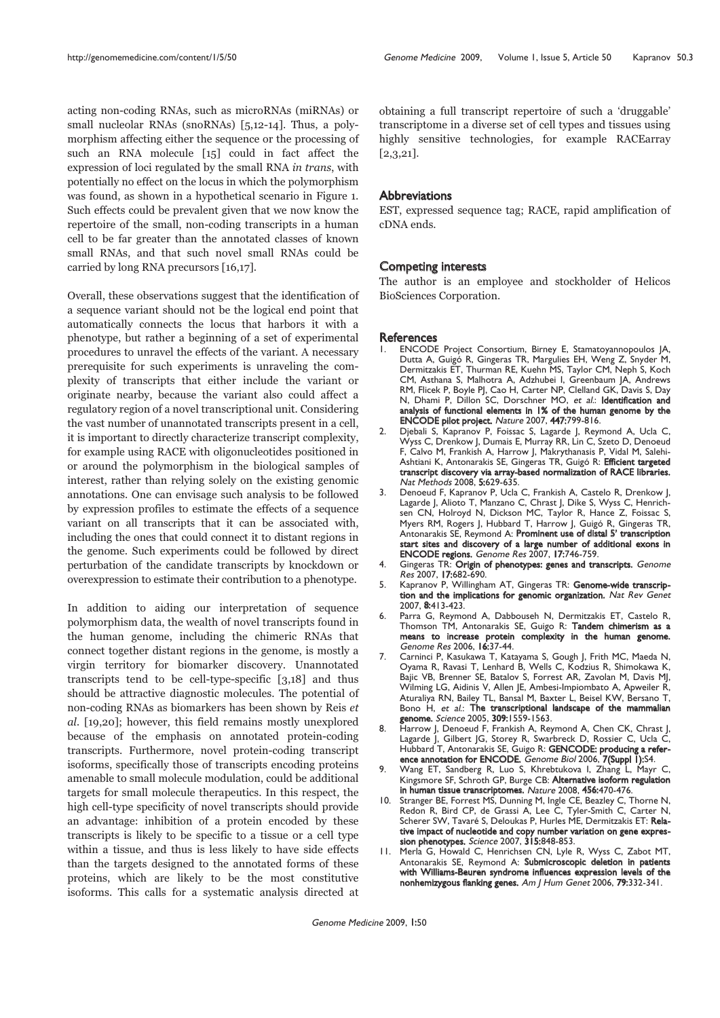acting non-coding RNAs, such as microRNAs (miRNAs) or small nucleolar RNAs (snoRNAs) [5,12-14]. Thus, a polymorphism affecting either the sequence or the processing of such an RNA molecule [15] could in fact affect the expression of loci regulated by the small RNA in trans, with potentially no effect on the locus in which the polymorphism was found, as shown in a hypothetical scenario in Figure 1. Such effects could be prevalent given that we now know the repertoire of the small, non-coding transcripts in a human cell to be far greater than the annotated classes of known small RNAs, and that such novel small RNAs could be carried by long RNA precursors [16,17].

Overall, these observations suggest that the identification of a sequence variant should not be the logical end point that automatically connects the locus that harbors it with a phenotype, but rather a beginning of a set of experimental procedures to unravel the effects of the variant. A necessary prerequisite for such experiments is unraveling the complexity of transcripts that either include the variant or originate nearby, because the variant also could affect a regulatory region of a novel transcriptional unit. Considering the vast number of unannotated transcripts present in a cell, it is important to directly characterize transcript complexity, for example using RACE with oligonucleotides positioned in or around the polymorphism in the biological samples of interest, rather than relying solely on the existing genomic annotations. One can envisage such analysis to be followed by expression profiles to estimate the effects of a sequence variant on all transcripts that it can be associated with, including the ones that could connect it to distant regions in the genome. Such experiments could be followed by direct perturbation of the candidate transcripts by knockdown or overexpression to estimate their contribution to a phenotype.

In addition to aiding our interpretation of sequence polymorphism data, the wealth of novel transcripts found in the human genome, including the chimeric RNAs that connect together distant regions in the genome, is mostly a virgin territory for biomarker discovery. Unannotated transcripts tend to be cell-type-specific [3,18] and thus should be attractive diagnostic molecules. The potential of non-coding RNAs as biomarkers has been shown by Reis et al. [19,20]; however, this field remains mostly unexplored because of the emphasis on annotated protein-coding transcripts. Furthermore, novel protein-coding transcript isoforms, specifically those of transcripts encoding proteins amenable to small molecule modulation, could be additional targets for small molecule therapeutics. In this respect, the high cell-type specificity of novel transcripts should provide an advantage: inhibition of a protein encoded by these transcripts is likely to be specific to a tissue or a cell type within a tissue, and thus is less likely to have side effects than the targets designed to the annotated forms of these proteins, which are likely to be the most constitutive isoforms. This calls for a systematic analysis directed at

obtaining a full transcript repertoire of such a 'druggable' transcriptome in a diverse set of cell types and tissues using highly sensitive technologies, for example RACEarray [2,3,21].

### **Abbreviations**

EST, expressed sequence tag; RACE, rapid amplification of cDNA ends.

### Competing interests

The author is an employee and stockholder of Helicos BioSciences Corporation.

#### References

- 1. ENCODE Project Consortium, Birney E, Stamatoyannopoulos JA, Dutta A, Guigó R, Gingeras TR, Margulies EH, Weng Z, Snyder M, Dermitzakis ET, Thurman RE, Kuehn MS, Taylor CM, Neph S, Koch CM, Asthana S, Malhotra A, Adzhubei I, Greenbaum JA, Andrews RM, Flicek P, Boyle PJ, Cao H, Carter NP, Clelland GK, Davis S, Day N, Dhami P, Dillon SC, Dorschner MO, et al.: **Identification and** analysis of functional elements in 1% of the human genome by the ENCODE pilot project. Nature 2007, 447:799-816.
- 2. Djebali S, Kapranov P, Foissac S, Lagarde J, Reymond A, Ucla C, Wyss C, Drenkow J, Dumais E, Murray RR, Lin C, Szeto D, Denoeud F, Calvo M, Frankish A, Harrow J, Makrythanasis P, Vidal M, Salehi-Ashtiani K, Antonarakis SE, Gingeras TR, Guigó R: Efficient targeted transcript discovery via array-based normalization of RACE libraries. Nat Methods 2008, 5:629-635.
- 3. Denoeud F, Kapranov P, Ucla C, Frankish A, Castelo R, Drenkow J, Lagarde J, Alioto T, Manzano C, Chrast J, Dike S, Wyss C, Henrichsen CN, Holroyd N, Dickson MC, Taylor R, Hance Z, Foissac S, Myers RM, Rogers J, Hubbard T, Harrow J, Guigó R, Gingeras TR, Antonarakis SE, Reymond A: Prominent use of distal 5' transcription start sites and discovery of a large number of additional exons in ENCODE regions. Genome Res 2007, 17:746-759.
- 4. Gingeras TR: Origin of phenotypes: genes and transcripts. Genome Res 2007, 17:682-690.
- 5. Kapranov P, Willingham AT, Gingeras TR: Genome-wide transcription and the implications for genomic organization. Nat Rev Genet 2007, 8:413-423.
- 6. Parra G, Reymond A, Dabbouseh N, Dermitzakis ET, Castelo R, Thomson TM, Antonarakis SE, Guigo R: Tandem chimerism as a means to increase protein complexity in the human genome. Genome Res 2006, 16:37-44.
- 7. Carninci P, Kasukawa T, Katayama S, Gough J, Frith MC, Maeda N, Oyama R, Ravasi T, Lenhard B, Wells C, Kodzius R, Shimokawa K, Bajic VB, Brenner SE, Batalov S, Forrest AR, Zavolan M, Davis MJ, Wilming LG, Aidinis V, Allen JE, Ambesi-Impiombato A, Apweiler R, Aturaliya RN, Bailey TL, Bansal M, Baxter L, Beisel KW, Bersano T, Bono H, et al.: The transcriptional landscape of the mammalian genome. Science 2005, 309:1559-1563.
- 8. Harrow J, Denoeud F, Frankish A, Reymond A, Chen CK, Chrast J, Lagarde J, Gilbert JG, Storey R, Swarbreck D, Rossier C, Ucla O Hubbard T, Antonarakis SE, Guigo R: GENCODE: producing a reference annotation for ENCODE. Genome Biol 2006, 7(Suppl 1):S4.
- 9. Wang ET, Sandberg R, Luo S, Khrebtukova I, Zhang L, Mayr C, Kingsmore SF, Schroth GP, Burge CB: Alternative isoform regulation in human tissue transcriptomes. Nature 2008, 456:470-476.
- 10. Stranger BE, Forrest MS, Dunning M, Ingle CE, Beazley C, Thorne N, Redon R, Bird CP, de Grassi A, Lee C, Tyler-Smith C, Carter N, Scherer SW, Tavaré S, Deloukas P, Hurles ME, Dermitzakis ET: Relative impact of nucleotide and copy number variation on gene expression phenotypes. Science 2007, 315:848-853.
- Merla G, Howald C, Henrichsen CN, Lyle R, Wyss C, Zabot MT, Antonarakis SE, Reymond A: Submicroscopic deletion in patients with Williams-Beuren syndrome influences expression levels of the nonhemizygous flanking genes. Am J Hum Genet 2006, 79:332-341.

Genome Medicine 2009, 1:50